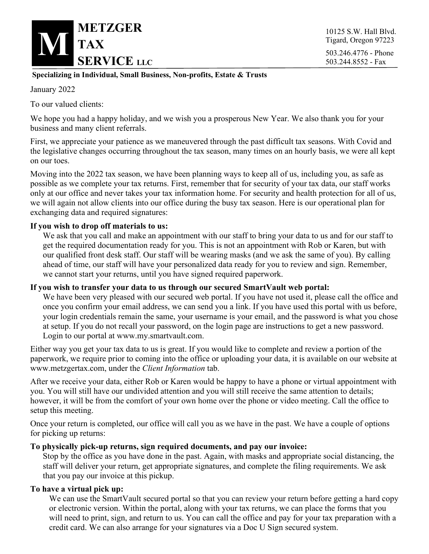

10125 S.W. Hall Blvd. Tigard, Oregon 97223 503.244.8552 - Fax

### **Specializing in Individual, Small Business, Non-profits, Estate & Trusts**

January 2022

To our valued clients:

We hope you had a happy holiday, and we wish you a prosperous New Year. We also thank you for your business and many client referrals.

First, we appreciate your patience as we maneuvered through the past difficult tax seasons. With Covid and the legislative changes occurring throughout the tax season, many times on an hourly basis, we were all kept on our toes.

Moving into the 2022 tax season, we have been planning ways to keep all of us, including you, as safe as possible as we complete your tax returns. First, remember that for security of your tax data, our staff works only at our office and never takes your tax information home. For security and health protection for all of us, we will again not allow clients into our office during the busy tax season. Here is our operational plan for exchanging data and required signatures:

# **If you wish to drop off materials to us:**

We ask that you call and make an appointment with our staff to bring your data to us and for our staff to get the required documentation ready for you. This is not an appointment with Rob or Karen, but with our qualified front desk staff. Our staff will be wearing masks (and we ask the same of you). By calling ahead of time, our staff will have your personalized data ready for you to review and sign. Remember, we cannot start your returns, until you have signed required paperwork.

#### **If you wish to transfer your data to us through our secured SmartVault web portal:**

We have been very pleased with our secured web portal. If you have not used it, please call the office and once you confirm your email address, we can send you a link. If you have used this portal with us before, your login credentials remain the same, your username is your email, and the password is what you chose at setup. If you do not recall your password, on the login page are instructions to get a new password. Login to our portal at www.my.smartvault.com.

Either way you get your tax data to us is great. If you would like to complete and review a portion of the paperwork, we require prior to coming into the office or uploading your data, it is available on our website at www.metzgertax.com, under the *Client Information* tab.

After we receive your data, either Rob or Karen would be happy to have a phone or virtual appointment with you. You will still have our undivided attention and you will still receive the same attention to details; however, it will be from the comfort of your own home over the phone or video meeting. Call the office to setup this meeting.

Once your return is completed, our office will call you as we have in the past. We have a couple of options for picking up returns:

#### **To physically pick-up returns, sign required documents, and pay our invoice:**

Stop by the office as you have done in the past. Again, with masks and appropriate social distancing, the staff will deliver your return, get appropriate signatures, and complete the filing requirements. We ask that you pay our invoice at this pickup.

# **To have a virtual pick up:**

We can use the SmartVault secured portal so that you can review your return before getting a hard copy or electronic version. Within the portal, along with your tax returns, we can place the forms that you will need to print, sign, and return to us. You can call the office and pay for your tax preparation with a credit card. We can also arrange for your signatures via a Doc U Sign secured system.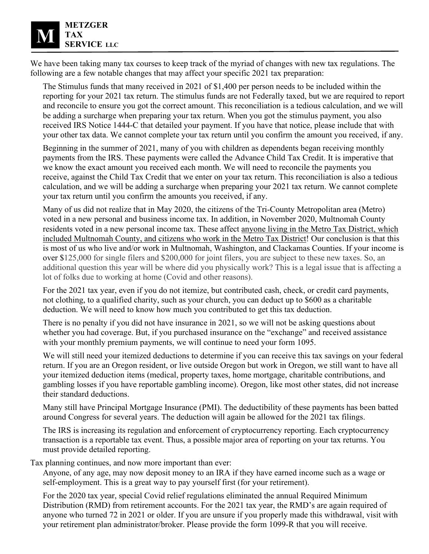We have been taking many tax courses to keep track of the myriad of changes with new tax regulations. The following are a few notable changes that may affect your specific 2021 tax preparation:

The Stimulus funds that many received in 2021 of \$1,400 per person needs to be included within the reporting for your 2021 tax return. The stimulus funds are not Federally taxed, but we are required to report and reconcile to ensure you got the correct amount. This reconciliation is a tedious calculation, and we will be adding a surcharge when preparing your tax return. When you got the stimulus payment, you also received IRS Notice 1444-C that detailed your payment. If you have that notice, please include that with your other tax data. We cannot complete your tax return until you confirm the amount you received, if any.

Beginning in the summer of 2021, many of you with children as dependents began receiving monthly payments from the IRS. These payments were called the Advance Child Tax Credit. It is imperative that we know the exact amount you received each month. We will need to reconcile the payments you receive, against the Child Tax Credit that we enter on your tax return. This reconciliation is also a tedious calculation, and we will be adding a surcharge when preparing your 2021 tax return. We cannot complete your tax return until you confirm the amounts you received, if any.

Many of us did not realize that in May 2020, the citizens of the Tri-County Metropolitan area (Metro) voted in a new personal and business income tax. In addition, in November 2020, Multnomah County residents voted in a new personal income tax. These affect anyone living in the Metro Tax District, which included Multnomah County, and citizens who work in the Metro Tax District! Our conclusion is that this is most of us who live and/or work in Multnomah, Washington, and Clackamas Counties. If your income is over \$125,000 for single filers and \$200,000 for joint filers, you are subject to these new taxes. So, an additional question this year will be where did you physically work? This is a legal issue that is affecting a lot of folks due to working at home (Covid and other reasons).

For the 2021 tax year, even if you do not itemize, but contributed cash, check, or credit card payments, not clothing, to a qualified charity, such as your church, you can deduct up to \$600 as a charitable deduction. We will need to know how much you contributed to get this tax deduction.

There is no penalty if you did not have insurance in 2021, so we will not be asking questions about whether you had coverage. But, if you purchased insurance on the "exchange" and received assistance with your monthly premium payments, we will continue to need your form 1095.

We will still need your itemized deductions to determine if you can receive this tax savings on your federal return. If you are an Oregon resident, or live outside Oregon but work in Oregon, we still want to have all your itemized deduction items (medical, property taxes, home mortgage, charitable contributions, and gambling losses if you have reportable gambling income). Oregon, like most other states, did not increase their standard deductions.

Many still have Principal Mortgage Insurance (PMI). The deductibility of these payments has been batted around Congress for several years. The deduction will again be allowed for the 2021 tax filings.

The IRS is increasing its regulation and enforcement of cryptocurrency reporting. Each cryptocurrency transaction is a reportable tax event. Thus, a possible major area of reporting on your tax returns. You must provide detailed reporting.

Tax planning continues, and now more important than ever:

Anyone, of any age, may now deposit money to an IRA if they have earned income such as a wage or self-employment. This is a great way to pay yourself first (for your retirement).

For the 2020 tax year, special Covid relief regulations eliminated the annual Required Minimum Distribution (RMD) from retirement accounts. For the 2021 tax year, the RMD's are again required of anyone who turned 72 in 2021 or older. If you are unsure if you properly made this withdrawal, visit with your retirement plan administrator/broker. Please provide the form 1099-R that you will receive.